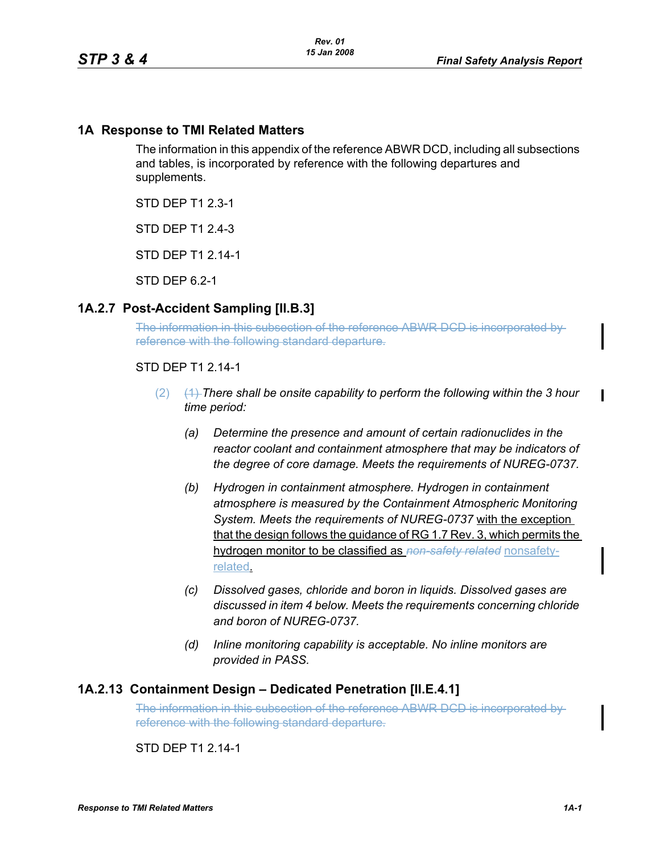## **1A Response to TMI Related Matters**

The information in this appendix of the reference ABWR DCD, including all subsections and tables, is incorporated by reference with the following departures and supplements.

STD DEP T1 2.3-1

STD DFP T1 2 4-3

STD DEP T1 2.14-1

STD DEP 6.2-1

## **1A.2.7 Post-Accident Sampling [II.B.3]**

The information in this subsection of the reference ABWR DCD is incorporated by reference with the following standard departure.

#### STD DEP T1 2.14-1

- (2) (1) *There shall be onsite capability to perform the following within the 3 hour time period:*
	- *(a) Determine the presence and amount of certain radionuclides in the reactor coolant and containment atmosphere that may be indicators of the degree of core damage. Meets the requirements of NUREG-0737.*
	- *(b) Hydrogen in containment atmosphere. Hydrogen in containment atmosphere is measured by the Containment Atmospheric Monitoring System. Meets the requirements of NUREG-0737* with the exception that the design follows the guidance of RG 1.7 Rev. 3, which permits the hydrogen monitor to be classified as *non-safety related* nonsafetyrelated.
	- *(c) Dissolved gases, chloride and boron in liquids. Dissolved gases are discussed in item 4 below. Meets the requirements concerning chloride and boron of NUREG-0737.*
	- *(d) Inline monitoring capability is acceptable. No inline monitors are provided in PASS.*

### **1A.2.13 Containment Design – Dedicated Penetration [II.E.4.1]**

The information in this subsection of the reference ABWR DCD is incorporated by reference with the following standard departure.

STD DFP T1 2 14-1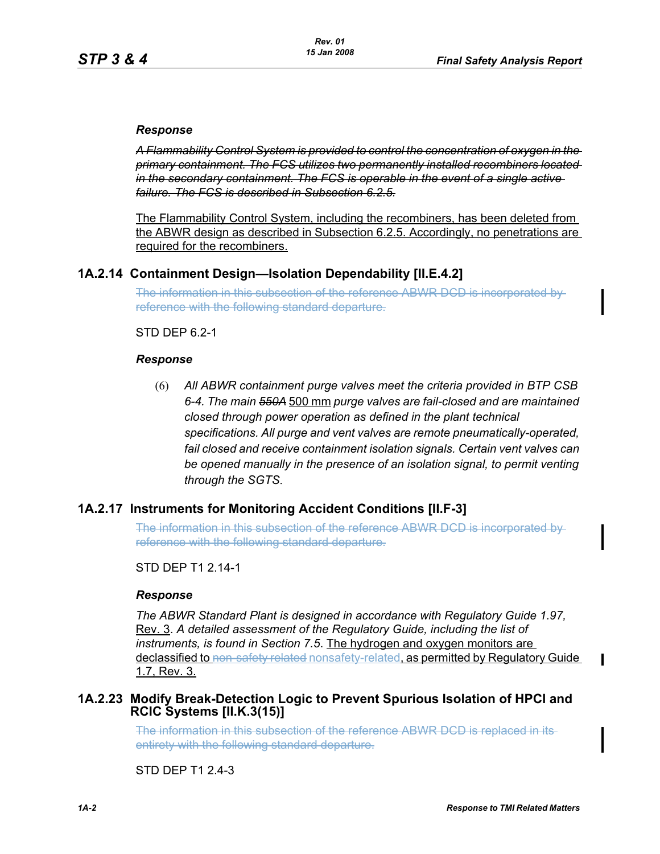#### *Response*

*A Flammability Control System is provided to control the concentration of oxygen in the primary containment. The FCS utilizes two permanently installed recombiners located in the secondary containment. The FCS is operable in the event of a single active failure. The FCS is described in Subsection 6.2.5.*

The Flammability Control System, including the recombiners, has been deleted from the ABWR design as described in Subsection 6.2.5. Accordingly, no penetrations are required for the recombiners.

## **1A.2.14 Containment Design—Isolation Dependability [II.E.4.2]**

The information in this subsection of the reference ABWR DCD is incorporated by reference with the following standard departure.

#### STD DEP 6.2-1

#### *Response*

(6) *All ABWR containment purge valves meet the criteria provided in BTP CSB 6-4. The main 550A* 500 mm *purge valves are fail-closed and are maintained closed through power operation as defined in the plant technical specifications. All purge and vent valves are remote pneumatically-operated, fail closed and receive containment isolation signals. Certain vent valves can be opened manually in the presence of an isolation signal, to permit venting through the SGTS*.

### **1A.2.17 Instruments for Monitoring Accident Conditions [II.F-3]**

The information in this subsection of the reference ABWR DCD is incorporated by reference with the following standard departure.

#### STD DFP T1 2 14-1

#### *Response*

*The ABWR Standard Plant is designed in accordance with Regulatory Guide 1.97,* Rev. 3. *A detailed assessment of the Regulatory Guide, including the list of instruments, is found in Section 7.5*. The hydrogen and oxygen monitors are declassified to non-safety related nonsafety-related, as permitted by Regulatory Guide 1.7, Rev. 3.

### <span id="page-1-0"></span>**1A.2.23 Modify Break-Detection Logic to Prevent Spurious Isolation of HPCI and RCIC Systems [II.K.3(15)]**

The information in this subsection of the reference ABWR DCD is replaced in its entirety with the following standard departure.

STD DEP T1 2.4-3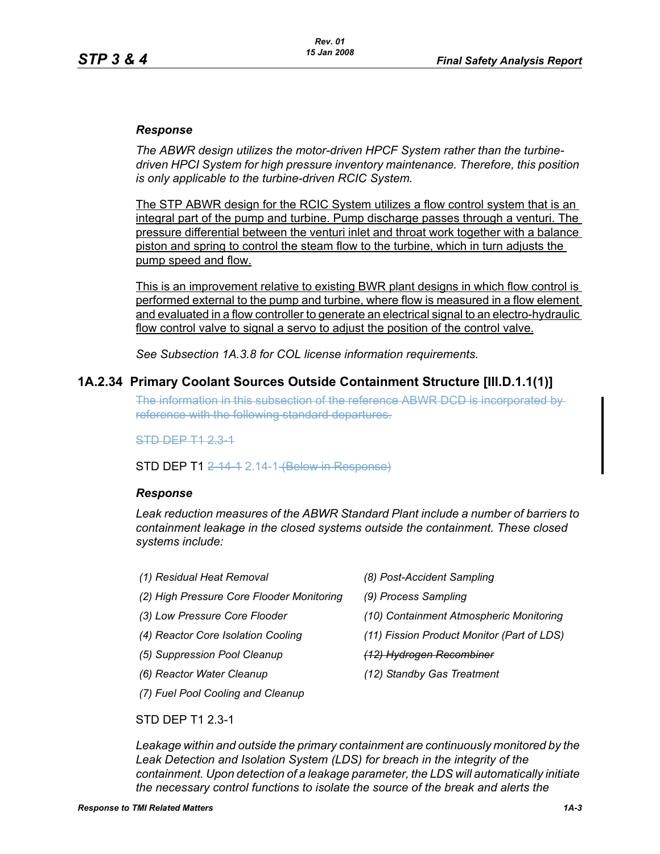#### *Response*

*The ABWR design utilizes the motor-driven HPCF System rather than the turbinedriven HPCI System for high pressure inventory maintenance. Therefore, this position is only applicable to the turbine-driven RCIC System.*

The STP ABWR design for the RCIC System utilizes a flow control system that is an integral part of the pump and turbine. Pump discharge passes through a venturi. The pressure differential between the venturi inlet and throat work together with a balance piston and spring to control the steam flow to the turbine, which in turn adjusts the pump speed and flow.

This is an improvement relative to existing BWR plant designs in which flow control is performed external to the pump and turbine, where flow is measured in a flow element and evaluated in a flow controller to generate an electrical signal to an electro-hydraulic flow control valve to signal a servo to adjust the position of the control valve.

*See Subsection 1A.3.8 for COL license information requirements.*

### **1A.2.34 Primary Coolant Sources Outside Containment Structure [III.D.1.1(1)]**

The information in this subsection of the reference ABWR DCD is incorporated by reference with the following standard departures.

STD DEP T1 2.3-1

**STD DEP T1 2 14 1 2.14-1 (Below in Response)** 

#### *Response*

*Leak reduction measures of the ABWR Standard Plant include a number of barriers to containment leakage in the closed systems outside the containment. These closed systems include:*

- *(1) Residual Heat Removal (8) Post-Accident Sampling*
- *(2) High Pressure Core Flooder Monitoring (9) Process Sampling*
- 
- 
- *(5) Suppression Pool Cleanup (12) Hydrogen Recombiner*
- 
- *(7) Fuel Pool Cooling and Cleanup*
- 
- 
- *(3) Low Pressure Core Flooder (10) Containment Atmospheric Monitoring*
- *(4) Reactor Core Isolation Cooling (11) Fission Product Monitor (Part of LDS)*
	-
- *(6) Reactor Water Cleanup (12) Standby Gas Treatment*

STD DEP T1 2.3-1

*Leakage within and outside the primary containment are continuously monitored by the Leak Detection and Isolation System (LDS) for breach in the integrity of the containment. Upon detection of a leakage parameter, the LDS will automatically initiate the necessary control functions to isolate the source of the break and alerts the*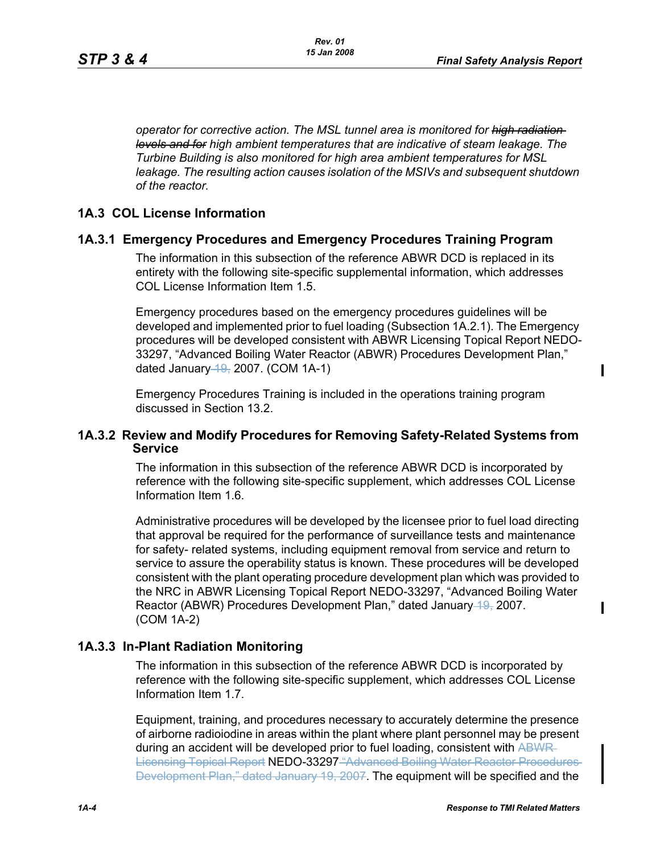*operator for corrective action. The MSL tunnel area is monitored for high radiation levels and for high ambient temperatures that are indicative of steam leakage. The Turbine Building is also monitored for high area ambient temperatures for MSL leakage. The resulting action causes isolation of the MSIVs and subsequent shutdown of the reactor.*

## **1A.3 COL License Information**

## **1A.3.1 Emergency Procedures and Emergency Procedures Training Program**

The information in this subsection of the reference ABWR DCD is replaced in its entirety with the following site-specific supplemental information, which addresses COL License Information Item 1.5.

Emergency procedures based on the emergency procedures guidelines will be developed and implemented prior to fuel loading (Subsection 1A.2.1). The Emergency procedures will be developed consistent with ABWR Licensing Topical Report NEDO-33297, "Advanced Boiling Water Reactor (ABWR) Procedures Development Plan," dated January  $49, 2007$ . (COM 1A-1)

Emergency Procedures Training is included in the operations training program discussed in Section 13.2.

### **1A.3.2 Review and Modify Procedures for Removing Safety-Related Systems from Service**

The information in this subsection of the reference ABWR DCD is incorporated by reference with the following site-specific supplement, which addresses COL License Information Item 1.6.

Administrative procedures will be developed by the licensee prior to fuel load directing that approval be required for the performance of surveillance tests and maintenance for safety- related systems, including equipment removal from service and return to service to assure the operability status is known. These procedures will be developed consistent with the plant operating procedure development plan which was provided to the NRC in ABWR Licensing Topical Report NEDO-33297, "Advanced Boiling Water Reactor (ABWR) Procedures Development Plan," dated January 19, 2007. (COM 1A-2)

### **1A.3.3 In-Plant Radiation Monitoring**

The information in this subsection of the reference ABWR DCD is incorporated by reference with the following site-specific supplement, which addresses COL License Information Item 1.7.

Equipment, training, and procedures necessary to accurately determine the presence of airborne radioiodine in areas within the plant where plant personnel may be present during an accident will be developed prior to fuel loading, consistent with ABWR Licensing Topical Report NEDO-33297 "Advanced Boiling Water Reactor Procedures Development Plan," dated January 19, 2007. The equipment will be specified and the П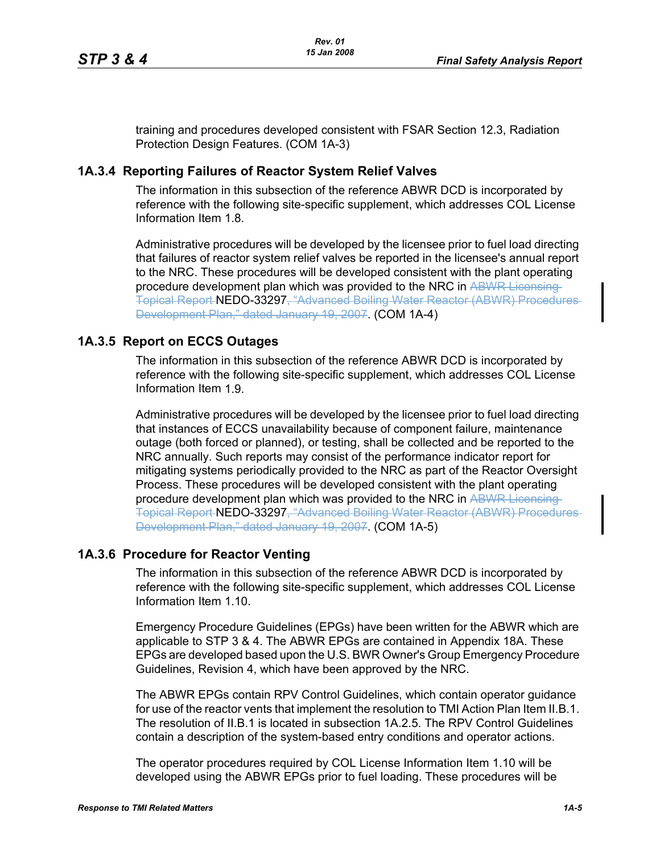training and procedures developed consistent with FSAR Section 12.3, Radiation Protection Design Features. (COM 1A-3)

#### **1A.3.4 Reporting Failures of Reactor System Relief Valves**

The information in this subsection of the reference ABWR DCD is incorporated by reference with the following site-specific supplement, which addresses COL License Information Item 1.8.

Administrative procedures will be developed by the licensee prior to fuel load directing that failures of reactor system relief valves be reported in the licensee's annual report to the NRC. These procedures will be developed consistent with the plant operating procedure development plan which was provided to the NRC in ABWR Licensing Topical Report NEDO-33297, "Advanced Boiling Water Reactor (ABWR) Procedures Development Plan," dated January 19, 2007. (COM 1A-4)

#### **1A.3.5 Report on ECCS Outages**

The information in this subsection of the reference ABWR DCD is incorporated by reference with the following site-specific supplement, which addresses COL License Information Item 1.9.

Administrative procedures will be developed by the licensee prior to fuel load directing that instances of ECCS unavailability because of component failure, maintenance outage (both forced or planned), or testing, shall be collected and be reported to the NRC annually. Such reports may consist of the performance indicator report for mitigating systems periodically provided to the NRC as part of the Reactor Oversight Process. These procedures will be developed consistent with the plant operating procedure development plan which was provided to the NRC in ABWR Licensing-Topical Report NEDO-33297, "Advanced Boiling Water Reactor (ABWR) Procedures Development Plan," dated January 19, 2007. (COM 1A-5)

## **1A.3.6 Procedure for Reactor Venting**

The information in this subsection of the reference ABWR DCD is incorporated by reference with the following site-specific supplement, which addresses COL License Information Item 1.10.

Emergency Procedure Guidelines (EPGs) have been written for the ABWR which are applicable to STP 3 & 4. The ABWR EPGs are contained in Appendix 18A. These EPGs are developed based upon the U.S. BWR Owner's Group Emergency Procedure Guidelines, Revision 4, which have been approved by the NRC.

The ABWR EPGs contain RPV Control Guidelines, which contain operator guidance for use of the reactor vents that implement the resolution to TMI Action Plan Item II.B.1. The resolution of II.B.1 is located in subsection 1A.2.5. The RPV Control Guidelines contain a description of the system-based entry conditions and operator actions.

The operator procedures required by COL License Information Item 1.10 will be developed using the ABWR EPGs prior to fuel loading. These procedures will be